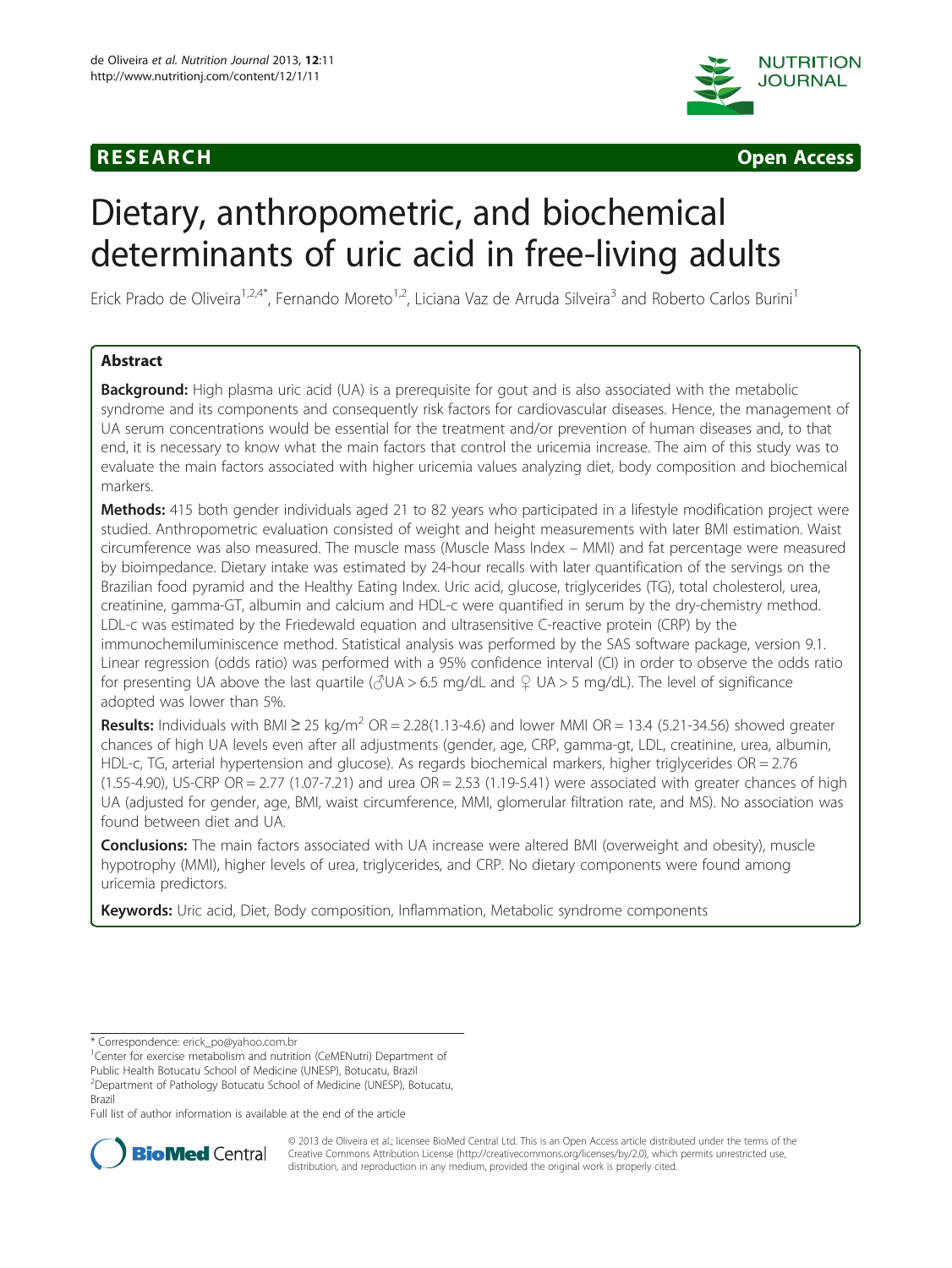



# Dietary, anthropometric, and biochemical determinants of uric acid in free-living adults

Erick Prado de Oliveira<sup>1,2,4\*</sup>, Fernando Moreto<sup>1,2</sup>, Liciana Vaz de Arruda Silveira<sup>3</sup> and Roberto Carlos Burini<sup>1</sup>

# Abstract

Background: High plasma uric acid (UA) is a prerequisite for gout and is also associated with the metabolic syndrome and its components and consequently risk factors for cardiovascular diseases. Hence, the management of UA serum concentrations would be essential for the treatment and/or prevention of human diseases and, to that end, it is necessary to know what the main factors that control the uricemia increase. The aim of this study was to evaluate the main factors associated with higher uricemia values analyzing diet, body composition and biochemical markers.

Methods: 415 both gender individuals aged 21 to 82 years who participated in a lifestyle modification project were studied. Anthropometric evaluation consisted of weight and height measurements with later BMI estimation. Waist circumference was also measured. The muscle mass (Muscle Mass Index – MMI) and fat percentage were measured by bioimpedance. Dietary intake was estimated by 24-hour recalls with later quantification of the servings on the Brazilian food pyramid and the Healthy Eating Index. Uric acid, glucose, triglycerides (TG), total cholesterol, urea, creatinine, gamma-GT, albumin and calcium and HDL-c were quantified in serum by the dry-chemistry method. LDL-c was estimated by the Friedewald equation and ultrasensitive C-reactive protein (CRP) by the immunochemiluminiscence method. Statistical analysis was performed by the SAS software package, version 9.1. Linear regression (odds ratio) was performed with a 95% confidence interval (CI) in order to observe the odds ratio for presenting UA above the last quartile ( $\sqrt{G}$ UA > 6.5 mg/dL and  $\sqrt{G}$  UA > 5 mg/dL). The level of significance adopted was lower than 5%.

**Results:** Individuals with BMI  $\geq 25$  kg/m<sup>2</sup> OR = 2.28(1.13-4.6) and lower MMI OR = 13.4 (5.21-34.56) showed greater chances of high UA levels even after all adjustments (gender, age, CRP, gamma-gt, LDL, creatinine, urea, albumin, HDL-c, TG, arterial hypertension and glucose). As regards biochemical markers, higher triglycerides OR = 2.76 (1.55-4.90), US-CRP OR = 2.77 (1.07-7.21) and urea  $OR = 2.53$  (1.19-5.41) were associated with greater chances of high UA (adjusted for gender, age, BMI, waist circumference, MMI, glomerular filtration rate, and MS). No association was found between diet and UA.

Conclusions: The main factors associated with UA increase were altered BMI (overweight and obesity), muscle hypotrophy (MMI), higher levels of urea, triglycerides, and CRP. No dietary components were found among uricemia predictors.

Keywords: Uric acid, Diet, Body composition, Inflammation, Metabolic syndrome components

<sup>1</sup> Center for exercise metabolism and nutrition (CeMENutri) Department of

Public Health Botucatu School of Medicine (UNESP), Botucatu, Brazil

2 Department of Pathology Botucatu School of Medicine (UNESP), Botucatu, Brazil

Full list of author information is available at the end of the article



© 2013 de Oliveira et al.; licensee BioMed Central Ltd. This is an Open Access article distributed under the terms of the Creative Commons Attribution License (<http://creativecommons.org/licenses/by/2.0>), which permits unrestricted use, distribution, and reproduction in any medium, provided the original work is properly cited.

<sup>\*</sup> Correspondence: [erick\\_po@yahoo.com.br](mailto:erick_po@yahoo.com.br) <sup>1</sup>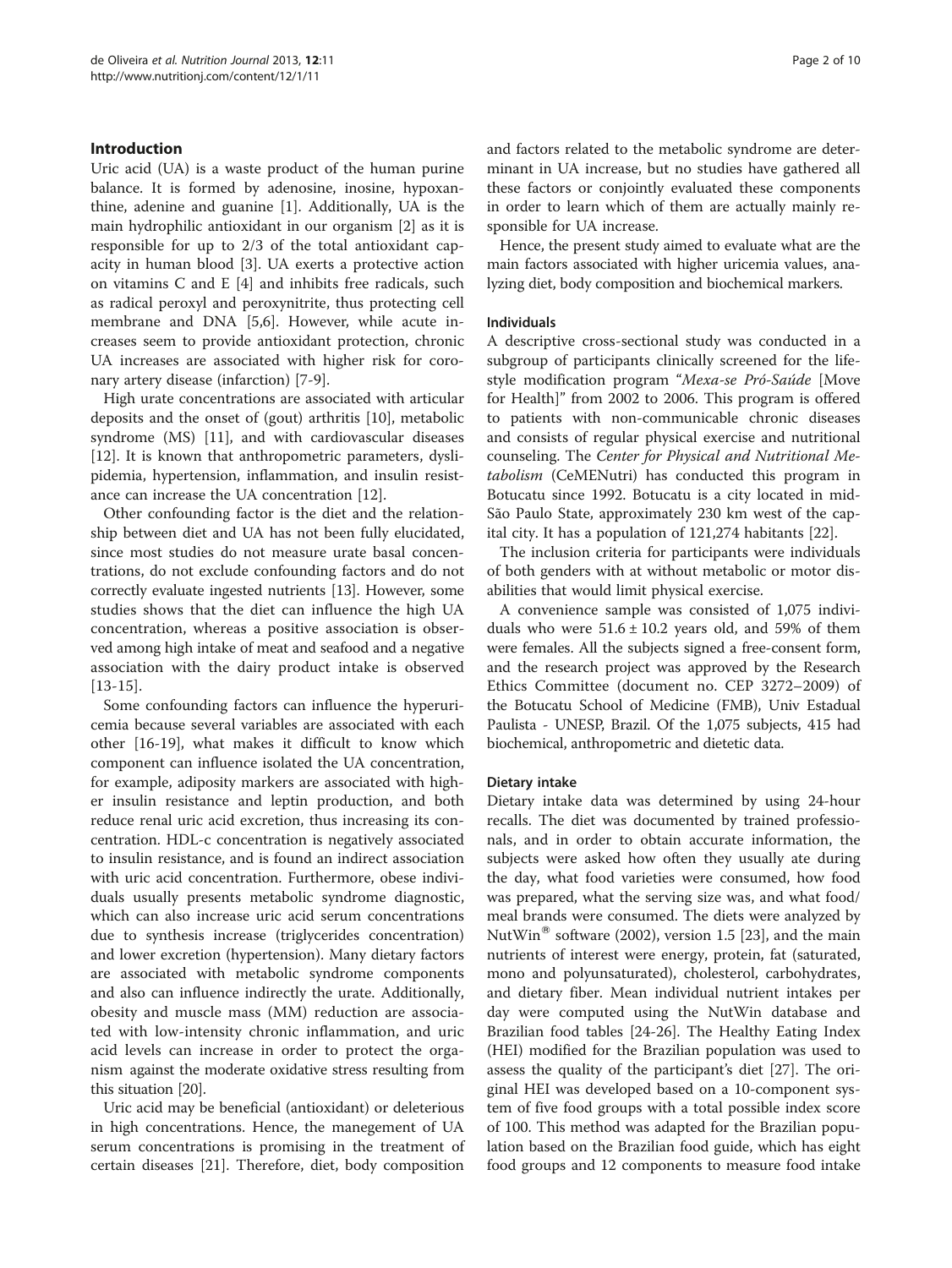# Introduction

Uric acid (UA) is a waste product of the human purine balance. It is formed by adenosine, inosine, hypoxanthine, adenine and guanine [\[1](#page-8-0)]. Additionally, UA is the main hydrophilic antioxidant in our organism [\[2](#page-8-0)] as it is responsible for up to 2/3 of the total antioxidant capacity in human blood [\[3](#page-8-0)]. UA exerts a protective action on vitamins C and E [[4\]](#page-8-0) and inhibits free radicals, such as radical peroxyl and peroxynitrite, thus protecting cell membrane and DNA [\[5,6](#page-8-0)]. However, while acute increases seem to provide antioxidant protection, chronic UA increases are associated with higher risk for coronary artery disease (infarction) [[7-9](#page-8-0)].

High urate concentrations are associated with articular deposits and the onset of (gout) arthritis [\[10\]](#page-8-0), metabolic syndrome (MS) [[11\]](#page-8-0), and with cardiovascular diseases [[12\]](#page-8-0). It is known that anthropometric parameters, dyslipidemia, hypertension, inflammation, and insulin resistance can increase the UA concentration [[12\]](#page-8-0).

Other confounding factor is the diet and the relationship between diet and UA has not been fully elucidated, since most studies do not measure urate basal concentrations, do not exclude confounding factors and do not correctly evaluate ingested nutrients [\[13\]](#page-8-0). However, some studies shows that the diet can influence the high UA concentration, whereas a positive association is observed among high intake of meat and seafood and a negative association with the dairy product intake is observed [[13-15\]](#page-8-0).

Some confounding factors can influence the hyperuricemia because several variables are associated with each other [[16-19](#page-8-0)], what makes it difficult to know which component can influence isolated the UA concentration, for example, adiposity markers are associated with higher insulin resistance and leptin production, and both reduce renal uric acid excretion, thus increasing its concentration. HDL-c concentration is negatively associated to insulin resistance, and is found an indirect association with uric acid concentration. Furthermore, obese individuals usually presents metabolic syndrome diagnostic, which can also increase uric acid serum concentrations due to synthesis increase (triglycerides concentration) and lower excretion (hypertension). Many dietary factors are associated with metabolic syndrome components and also can influence indirectly the urate. Additionally, obesity and muscle mass (MM) reduction are associated with low-intensity chronic inflammation, and uric acid levels can increase in order to protect the organism against the moderate oxidative stress resulting from this situation [\[20\]](#page-8-0).

Uric acid may be beneficial (antioxidant) or deleterious in high concentrations. Hence, the manegement of UA serum concentrations is promising in the treatment of certain diseases [[21](#page-8-0)]. Therefore, diet, body composition and factors related to the metabolic syndrome are determinant in UA increase, but no studies have gathered all these factors or conjointly evaluated these components in order to learn which of them are actually mainly responsible for UA increase.

Hence, the present study aimed to evaluate what are the main factors associated with higher uricemia values, analyzing diet, body composition and biochemical markers.

# Individuals

A descriptive cross-sectional study was conducted in a subgroup of participants clinically screened for the lifestyle modification program "Mexa-se Pró-Saúde [Move for Health]" from 2002 to 2006. This program is offered to patients with non-communicable chronic diseases and consists of regular physical exercise and nutritional counseling. The Center for Physical and Nutritional Metabolism (CeMENutri) has conducted this program in Botucatu since 1992. Botucatu is a city located in mid-São Paulo State, approximately 230 km west of the capital city. It has a population of 121,274 habitants [\[22](#page-8-0)].

The inclusion criteria for participants were individuals of both genders with at without metabolic or motor disabilities that would limit physical exercise.

A convenience sample was consisted of 1,075 individuals who were  $51.6 \pm 10.2$  years old, and 59% of them were females. All the subjects signed a free-consent form, and the research project was approved by the Research Ethics Committee (document no. CEP 3272–2009) of the Botucatu School of Medicine (FMB), Univ Estadual Paulista - UNESP, Brazil. Of the 1,075 subjects, 415 had biochemical, anthropometric and dietetic data.

#### Dietary intake

Dietary intake data was determined by using 24-hour recalls. The diet was documented by trained professionals, and in order to obtain accurate information, the subjects were asked how often they usually ate during the day, what food varieties were consumed, how food was prepared, what the serving size was, and what food/ meal brands were consumed. The diets were analyzed by NutWin<sup>®</sup> software (2002), version 1.5 [\[23](#page-8-0)], and the main nutrients of interest were energy, protein, fat (saturated, mono and polyunsaturated), cholesterol, carbohydrates, and dietary fiber. Mean individual nutrient intakes per day were computed using the NutWin database and Brazilian food tables [\[24](#page-8-0)-[26](#page-8-0)]. The Healthy Eating Index (HEI) modified for the Brazilian population was used to assess the quality of the participant's diet [[27\]](#page-8-0). The original HEI was developed based on a 10-component system of five food groups with a total possible index score of 100. This method was adapted for the Brazilian population based on the Brazilian food guide, which has eight food groups and 12 components to measure food intake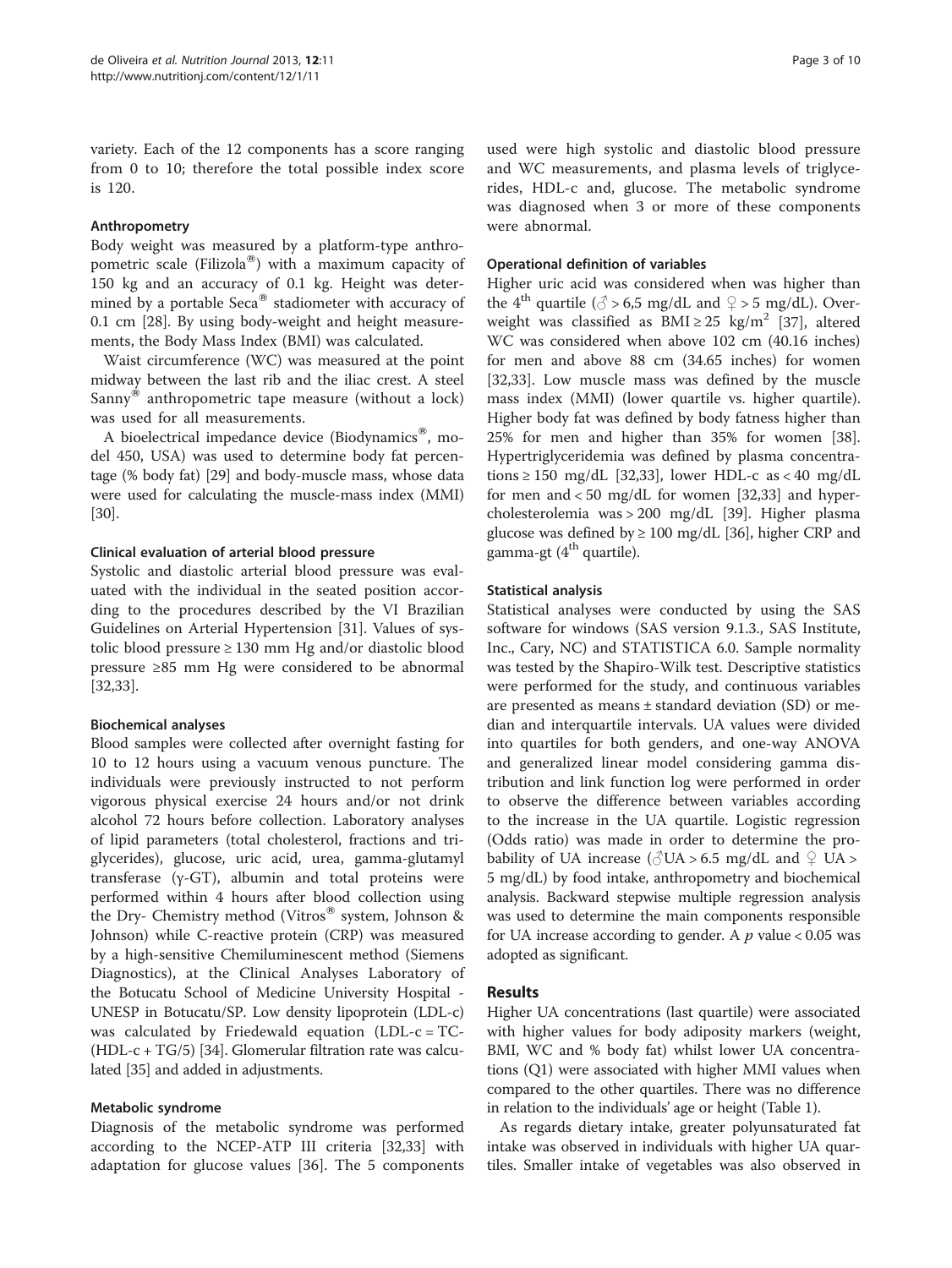variety. Each of the 12 components has a score ranging from 0 to 10; therefore the total possible index score is 120.

# Anthropometry

Body weight was measured by a platform-type anthropometric scale (Filizola®) with a maximum capacity of 150 kg and an accuracy of 0.1 kg. Height was determined by a portable  $Seca^{\circledR}$  stadiometer with accuracy of 0.1 cm [[28\]](#page-8-0). By using body-weight and height measurements, the Body Mass Index (BMI) was calculated.

Waist circumference (WC) was measured at the point midway between the last rib and the iliac crest. A steel Sanny<sup>®</sup> anthropometric tape measure (without a lock) was used for all measurements.

A bioelectrical impedance device (Biodynamics®, model 450, USA) was used to determine body fat percentage (% body fat) [[29](#page-8-0)] and body-muscle mass, whose data were used for calculating the muscle-mass index (MMI) [[30](#page-8-0)].

#### Clinical evaluation of arterial blood pressure

Systolic and diastolic arterial blood pressure was evaluated with the individual in the seated position according to the procedures described by the VI Brazilian Guidelines on Arterial Hypertension [[31](#page-8-0)]. Values of systolic blood pressure ≥ 130 mm Hg and/or diastolic blood pressure ≥85 mm Hg were considered to be abnormal [[32,33\]](#page-8-0).

# Biochemical analyses

Blood samples were collected after overnight fasting for 10 to 12 hours using a vacuum venous puncture. The individuals were previously instructed to not perform vigorous physical exercise 24 hours and/or not drink alcohol 72 hours before collection. Laboratory analyses of lipid parameters (total cholesterol, fractions and triglycerides), glucose, uric acid, urea, gamma-glutamyl transferase (γ-GT), albumin and total proteins were performed within 4 hours after blood collection using the Dry- Chemistry method (Vitros<sup>®</sup> system, Johnson & Johnson) while C-reactive protein (CRP) was measured by a high-sensitive Chemiluminescent method (Siemens Diagnostics), at the Clinical Analyses Laboratory of the Botucatu School of Medicine University Hospital - UNESP in Botucatu/SP. Low density lipoprotein (LDL-c) was calculated by Friedewald equation (LDL-c = TC- (HDL-c + TG/5) [[34](#page-8-0)]. Glomerular filtration rate was calculated [[35](#page-8-0)] and added in adjustments.

# Metabolic syndrome

Diagnosis of the metabolic syndrome was performed according to the NCEP-ATP III criteria [[32,33\]](#page-8-0) with adaptation for glucose values [[36\]](#page-8-0). The 5 components

used were high systolic and diastolic blood pressure and WC measurements, and plasma levels of triglycerides, HDL-c and, glucose. The metabolic syndrome was diagnosed when 3 or more of these components were abnormal.

### Operational definition of variables

Higher uric acid was considered when was higher than the 4<sup>th</sup> quartile ( $\circ$  > 6,5 mg/dL and  $\circ$  > 5 mg/dL). Overweight was classified as  $BMI \geq 25$  kg/m<sup>2</sup> [\[37\]](#page-8-0), altered WC was considered when above 102 cm (40.16 inches) for men and above 88 cm (34.65 inches) for women [[32,33\]](#page-8-0). Low muscle mass was defined by the muscle mass index (MMI) (lower quartile vs. higher quartile). Higher body fat was defined by body fatness higher than 25% for men and higher than 35% for women [\[38](#page-8-0)]. Hypertriglyceridemia was defined by plasma concentrations  $\geq 150$  mg/dL [\[32,33\]](#page-8-0), lower HDL-c as < 40 mg/dL for men and < 50 mg/dL for women [\[32,33\]](#page-8-0) and hypercholesterolemia was > 200 mg/dL [\[39](#page-8-0)]. Higher plasma glucose was defined by  $\geq 100$  mg/dL [[36](#page-8-0)], higher CRP and gamma-gt  $(4<sup>th</sup>$  quartile).

#### Statistical analysis

Statistical analyses were conducted by using the SAS software for windows (SAS version 9.1.3., SAS Institute, Inc., Cary, NC) and STATISTICA 6.0. Sample normality was tested by the Shapiro-Wilk test. Descriptive statistics were performed for the study, and continuous variables are presented as means ± standard deviation (SD) or median and interquartile intervals. UA values were divided into quartiles for both genders, and one-way ANOVA and generalized linear model considering gamma distribution and link function log were performed in order to observe the difference between variables according to the increase in the UA quartile. Logistic regression (Odds ratio) was made in order to determine the probability of UA increase ( $\circ$ UA > 6.5 mg/dL and  $\circ$  UA > 5 mg/dL) by food intake, anthropometry and biochemical analysis. Backward stepwise multiple regression analysis was used to determine the main components responsible for UA increase according to gender. A  $p$  value < 0.05 was adopted as significant.

# Results

Higher UA concentrations (last quartile) were associated with higher values for body adiposity markers (weight, BMI, WC and % body fat) whilst lower UA concentrations (Q1) were associated with higher MMI values when compared to the other quartiles. There was no difference in relation to the individuals' age or height (Table [1\)](#page-3-0).

As regards dietary intake, greater polyunsaturated fat intake was observed in individuals with higher UA quartiles. Smaller intake of vegetables was also observed in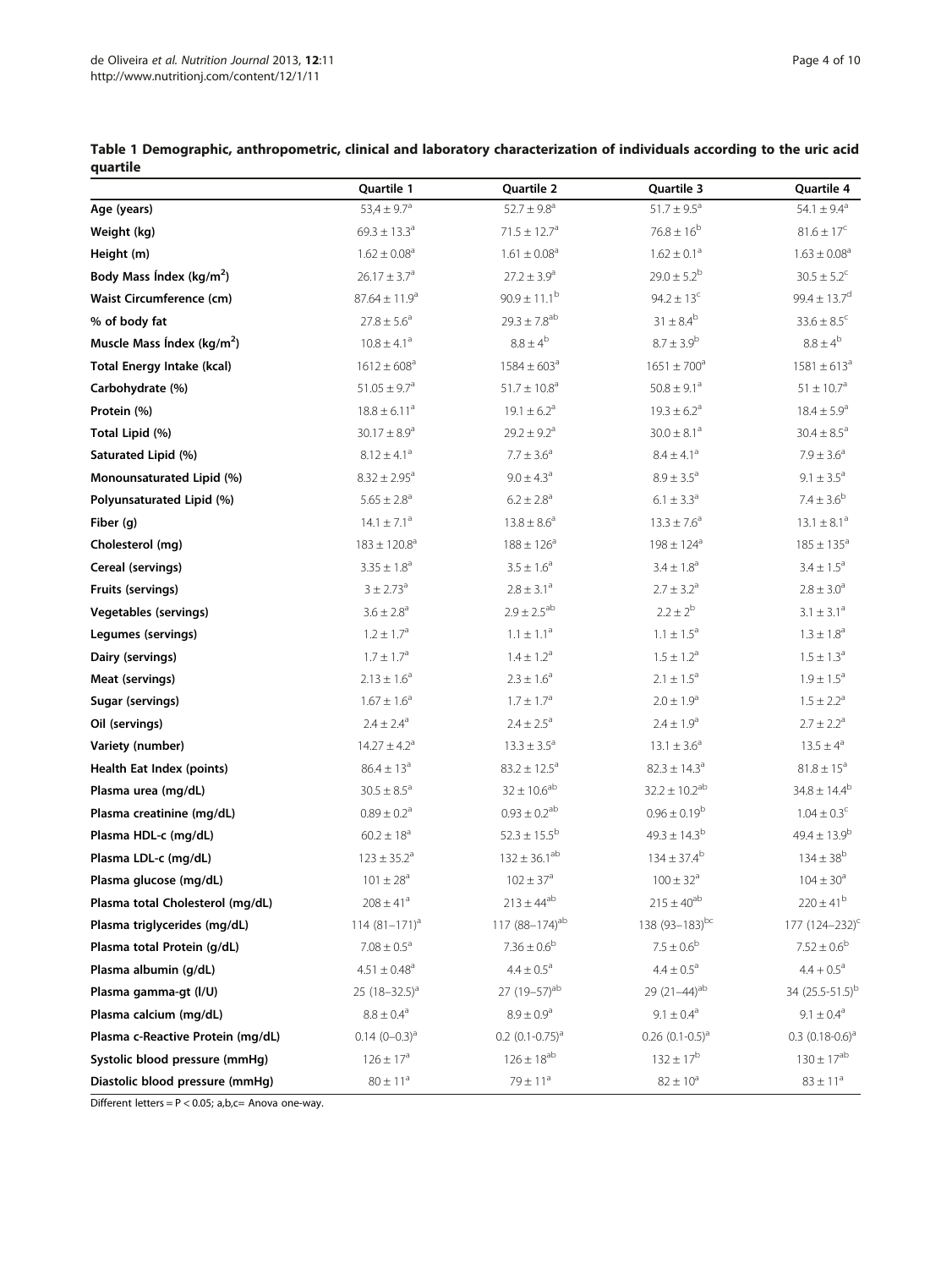|                                   | Quartile 1                   | Quartile 2                   | Quartile 3                   | Quartile 4                   |
|-----------------------------------|------------------------------|------------------------------|------------------------------|------------------------------|
| Age (years)                       | 53,4 $\pm$ 9.7 <sup>a</sup>  | $52.7 \pm 9.8^a$             | $51.7 \pm 9.5^{\circ}$       | 54.1 $\pm$ 9.4 <sup>a</sup>  |
| Weight (kg)                       | $69.3 \pm 13.3^{\circ}$      | $71.5 \pm 12.7$ <sup>a</sup> | $76.8 \pm 16^{b}$            | $81.6 \pm 17^c$              |
| Height (m)                        | $1.62 \pm 0.08^{\circ}$      | $1.61 \pm 0.08^{\circ}$      | $1.62 \pm 0.1^a$             | $1.63 \pm 0.08$ <sup>a</sup> |
| Body Mass Index ( $kg/m2$ )       | $26.17 \pm 3.7^a$            | $27.2 \pm 3.9^a$             | $29.0 \pm 5.2^b$             | $30.5 \pm 5.2^{\circ}$       |
| Waist Circumference (cm)          | $87.64 \pm 11.9^a$           | $90.9 \pm 11.1^{\rm b}$      | $94.2 \pm 13^c$              | $99.4 \pm 13.7^d$            |
| % of body fat                     | $27.8 \pm 5.6^a$             | $29.3 \pm 7.8$ <sup>ab</sup> | $31 \pm 8.4^b$               | $33.6 \pm 8.5^c$             |
| Muscle Mass Index ( $kg/m2$ )     | $10.8 \pm 4.1^a$             | $8.8\pm4^b$                  | $8.7 \pm 3.9^{\rm b}$        | $8.8\pm4^{\rm b}$            |
| <b>Total Energy Intake (kcal)</b> | $1612 \pm 608^a$             | $1584 \pm 603^{\circ}$       | $1651 \pm 700^a$             | $1581 \pm 613^a$             |
| Carbohydrate (%)                  | $51.05 \pm 9.7$ <sup>a</sup> | $51.7 \pm 10.8^{\circ}$      | $50.8 \pm 9.1^a$             | $51 \pm 10.7^a$              |
| Protein (%)                       | $18.8 \pm 6.11^a$            | $19.1 \pm 6.2^a$             | $19.3 \pm 6.2^{\circ}$       | $18.4 \pm 5.9^{\circ}$       |
| Total Lipid (%)                   | $30.17 \pm 8.9^a$            | $29.2 \pm 9.2^a$             | $30.0 \pm 8.1$ <sup>a</sup>  | $30.4 \pm 8.5^a$             |
| Saturated Lipid (%)               | $8.12 \pm 4.1^a$             | $7.7 \pm 3.6^a$              | $8.4 \pm 4.1^a$              | $7.9 \pm 3.6^a$              |
| Monounsaturated Lipid (%)         | $8.32 \pm 2.95$ <sup>a</sup> | $9.0 \pm 4.3^a$              | $8.9 \pm 3.5^a$              | $9.1 \pm 3.5^{\circ}$        |
| Polyunsaturated Lipid (%)         | $5.65 \pm 2.8$ <sup>a</sup>  | $6.2 \pm 2.8^a$              | $6.1 \pm 3.3^{\circ}$        | $7.4 \pm 3.6^b$              |
| Fiber (q)                         | $14.1 \pm 7.1^a$             | $13.8 \pm 8.6^{\circ}$       | $13.3 \pm 7.6^{\circ}$       | $13.1 \pm 8.1^{\circ}$       |
| Cholesterol (mg)                  | $183 \pm 120.8^a$            | $188 \pm 126^a$              | $198 \pm 124$ <sup>a</sup>   | $185 \pm 135^{\circ}$        |
| Cereal (servings)                 | $3.35 \pm 1.8^a$             | $3.5 \pm 1.6^a$              | $3.4 \pm 1.8^a$              | $3.4 \pm 1.5^a$              |
| Fruits (servings)                 | $3 \pm 2.73^{\circ}$         | $2.8 \pm 3.1^a$              | $2.7 \pm 3.2^a$              | $2.8 \pm 3.0^a$              |
| <b>Vegetables (servings)</b>      | $3.6 \pm 2.8^{\circ}$        | $2.9 \pm 2.5^{ab}$           | $2.2 \pm 2^{b}$              | $3.1 \pm 3.1^a$              |
| Legumes (servings)                | $1.2 \pm 1.7^a$              | $1.1 \pm 1.1^a$              | $1.1 \pm 1.5^{\circ}$        | $1.3 \pm 1.8^{\circ}$        |
| Dairy (servings)                  | $1.7 \pm 1.7^{\rm a}$        | $1.4 \pm 1.2^a$              | $1.5 \pm 1.2^a$              | $1.5 \pm 1.3^{\circ}$        |
| Meat (servings)                   | $2.13 \pm 1.6^a$             | $2.3 \pm 1.6^a$              | $2.1 \pm 1.5^a$              | $1.9 \pm 1.5^{\circ}$        |
| Sugar (servings)                  | $1.67 \pm 1.6^a$             | $1.7 \pm 1.7^a$              | $2.0 \pm 1.9^a$              | $1.5 \pm 2.2^a$              |
| Oil (servings)                    | $2.4 \pm 2.4^{\circ}$        | $2.4 \pm 2.5^{\circ}$        | $2.4 \pm 1.9^a$              | $2.7 \pm 2.2^a$              |
| Variety (number)                  | $14.27 \pm 4.2^a$            | $13.3 \pm 3.5^{\circ}$       | $13.1 \pm 3.6^a$             | $13.5 \pm 4^a$               |
| Health Eat Index (points)         | $86.4 \pm 13^{a}$            | $83.2 \pm 12.5^a$            | $82.3 \pm 14.3$ <sup>a</sup> | $81.8 \pm 15^a$              |
| Plasma urea (mg/dL)               | $30.5 \pm 8.5^{\circ}$       | $32 \pm 10.6^{ab}$           | $32.2 \pm 10.2^{ab}$         | $34.8 \pm 14.4^b$            |
| Plasma creatinine (mg/dL)         | $0.89 \pm 0.2$ <sup>a</sup>  | $0.93 \pm 0.2^{ab}$          | $0.96 \pm 0.19^b$            | $1.04 \pm 0.3^{\circ}$       |
| Plasma HDL-c (mg/dL)              | $60.2 \pm 18^a$              | $52.3 \pm 15.5^{\rm b}$      | $49.3 + 14.3^{b}$            | $49.4 \pm 13.9^b$            |
| Plasma LDL-c (mg/dL)              | $123 \pm 35.2^{\circ}$       | $132 \pm 36.1^{ab}$          | $134 \pm 37.4^{\rm b}$       | $134 \pm 38^{b}$             |
| Plasma glucose (mg/dL)            | $101 \pm 28^{\rm a}$         | $102 \pm 37^{\rm a}$         | $100 \pm 32^{\rm a}$         | $104 \pm 30^{\circ}$         |
| Plasma total Cholesterol (mg/dL)  | $208 \pm 41$ <sup>a</sup>    | $213 \pm 44^{ab}$            | $215 \pm 40^{ab}$            | $220 \pm 41^b$               |
| Plasma triglycerides (mg/dL)      | 114 $(81 - 171)^a$           | 117 $(88-174)$ <sup>ab</sup> | 138 (93-183)bc               | 177 $(124 - 232)^{c}$        |
| Plasma total Protein (g/dL)       | $7.08 \pm 0.5^a$             | $7.36\pm0.6^{\rm b}$         | $7.5 \pm 0.6^{\rm b}$        | $7.52 \pm 0.6^{\rm b}$       |
| Plasma albumin (g/dL)             | $4.51 \pm 0.48$ <sup>a</sup> | $4.4 \pm 0.5^{\text{a}}$     | $4.4 \pm 0.5^a$              | $4.4 + 0.5^a$                |
| Plasma gamma-gt (I/U)             | 25 $(18-32.5)^a$             | 27 (19-57) <sup>ab</sup>     | 29 $(21-44)^{ab}$            | 34 (25.5-51.5) <sup>b</sup>  |
| Plasma calcium (mg/dL)            | $8.8 \pm 0.4^{\text{a}}$     | $8.9 \pm 0.9^a$              | $9.1 \pm 0.4^a$              | $9.1 \pm 0.4^{\text{a}}$     |
| Plasma c-Reactive Protein (mg/dL) | $0.14$ $(0-0.3)^{a}$         | $0.2$ $(0.1 - 0.75)^{a}$     | $0.26$ $(0.1 - 0.5)^{a}$     | $0.3$ $(0.18-0.6)^a$         |
| Systolic blood pressure (mmHg)    | $126 \pm 17^a$               | $126\pm18^{\rm ab}$          | $132 \pm 17^{b}$             | $130\pm17^{\text{ab}}$       |
| Diastolic blood pressure (mmHg)   | $80 \pm 11^a$                | $79 \pm 11^a$                | $82 \pm 10^a$                | $83 \pm 11^a$                |

<span id="page-3-0"></span>Table 1 Demographic, anthropometric, clinical and laboratory characterization of individuals according to the uric acid quartile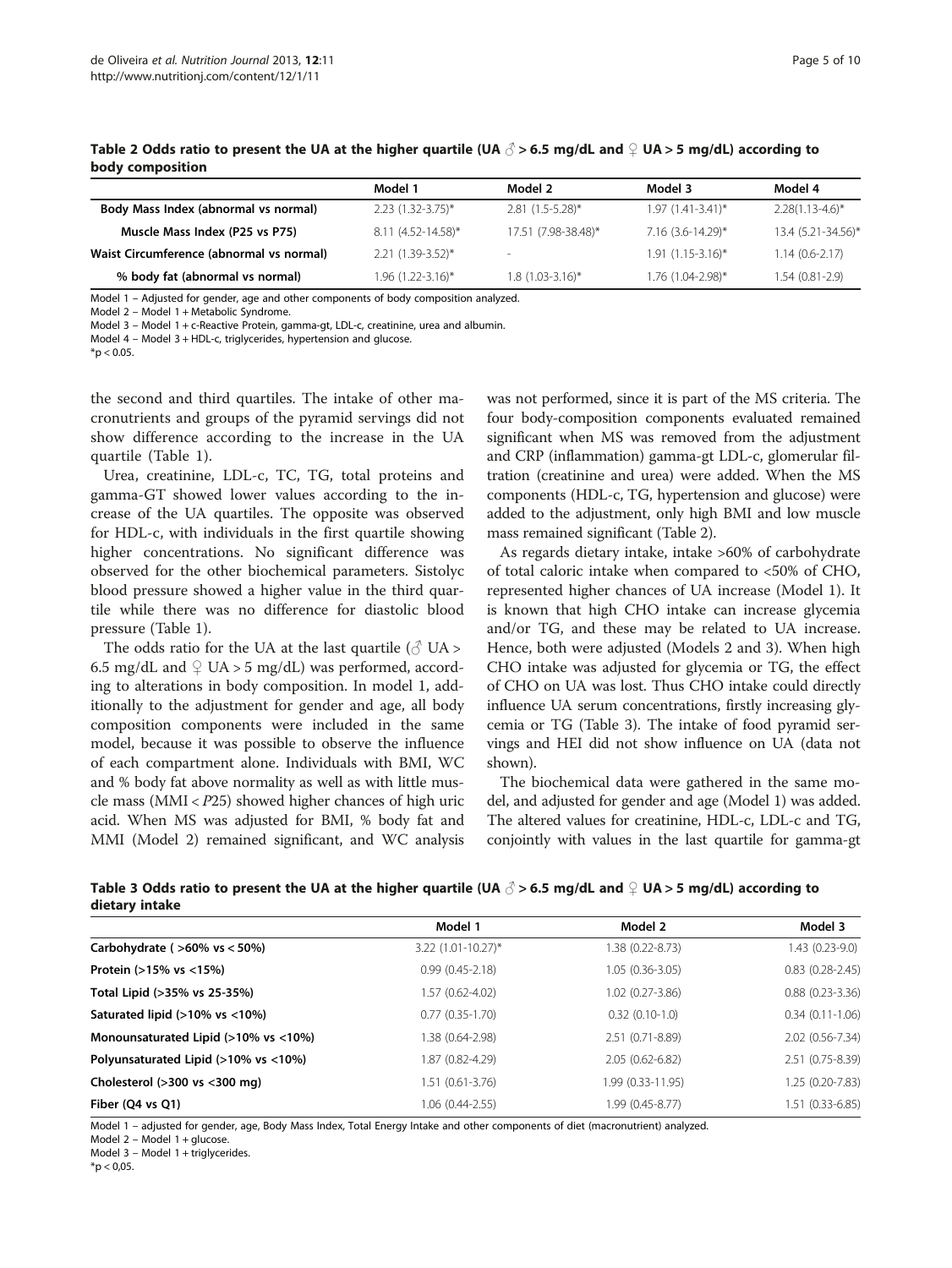|                                          | Model 1                | Model 2             | Model 3               | Model 4              |
|------------------------------------------|------------------------|---------------------|-----------------------|----------------------|
| Body Mass Index (abnormal vs normal)     | $2.23$ (1.32-3.75)*    | $2.81(1.5-5.28)$ *  | $1.97(1.41-3.41)^{*}$ | $2.28(1.13 - 4.6)^*$ |
| Muscle Mass Index (P25 vs P75)           | $8.11(4.52 - 14.58)^*$ | 17.51 (7.98-38.48)* | $7.16$ (3.6-14.29)*   | 13.4 (5.21-34.56)*   |
| Waist Circumference (abnormal vs normal) | $2.21(1.39-3.52)^*$    |                     | $1.91(1.15-3.16)^{*}$ | $1.14(0.6-2.17)$     |
| % body fat (abnormal vs normal)          | 1.96 (1.22-3.16)*      | $1.8(1.03-3.16)$ *  | 1.76 (1.04-2.98)*     | 1.54 (0.81-2.9)      |

Table 2 Odds ratio to present the UA at the higher quartile (UA  $\beta$  > 6.5 mg/dL and  $\Omega$  UA > 5 mg/dL) according to body composition

Model 1 – Adjusted for gender, age and other components of body composition analyzed.

Model 2 – Model 1 + Metabolic Syndrome.

Model 3 – Model 1 + c-Reactive Protein, gamma-gt, LDL-c, creatinine, urea and albumin.

Model 4 – Model 3 + HDL-c, triglycerides, hypertension and glucose.

 $*$ p < 0.05.

the second and third quartiles. The intake of other macronutrients and groups of the pyramid servings did not show difference according to the increase in the UA quartile (Table [1](#page-3-0)).

Urea, creatinine, LDL-c, TC, TG, total proteins and gamma-GT showed lower values according to the increase of the UA quartiles. The opposite was observed for HDL-c, with individuals in the first quartile showing higher concentrations. No significant difference was observed for the other biochemical parameters. Sistolyc blood pressure showed a higher value in the third quartile while there was no difference for diastolic blood pressure (Table [1](#page-3-0)).

The odds ratio for the UA at the last quartile ( $\circ$  UA > 6.5 mg/dL and  $\mathcal{Q}$  UA > 5 mg/dL) was performed, according to alterations in body composition. In model 1, additionally to the adjustment for gender and age, all body composition components were included in the same model, because it was possible to observe the influence of each compartment alone. Individuals with BMI, WC and % body fat above normality as well as with little muscle mass (MMI < P25) showed higher chances of high uric acid. When MS was adjusted for BMI, % body fat and MMI (Model 2) remained significant, and WC analysis

was not performed, since it is part of the MS criteria. The four body-composition components evaluated remained significant when MS was removed from the adjustment and CRP (inflammation) gamma-gt LDL-c, glomerular filtration (creatinine and urea) were added. When the MS components (HDL-c, TG, hypertension and glucose) were added to the adjustment, only high BMI and low muscle mass remained significant (Table 2).

As regards dietary intake, intake >60% of carbohydrate of total caloric intake when compared to <50% of CHO, represented higher chances of UA increase (Model 1). It is known that high CHO intake can increase glycemia and/or TG, and these may be related to UA increase. Hence, both were adjusted (Models 2 and 3). When high CHO intake was adjusted for glycemia or TG, the effect of CHO on UA was lost. Thus CHO intake could directly influence UA serum concentrations, firstly increasing glycemia or TG (Table 3). The intake of food pyramid servings and HEI did not show influence on UA (data not shown).

The biochemical data were gathered in the same model, and adjusted for gender and age (Model 1) was added. The altered values for creatinine, HDL-c, LDL-c and TG, conjointly with values in the last quartile for gamma-gt

|                | Table 3 Odds ratio to present the UA at the higher quartile (UA $\beta$ > 6.5 mg/dL and $\heartsuit$ UA > 5 mg/dL) according to |  |  |  |
|----------------|---------------------------------------------------------------------------------------------------------------------------------|--|--|--|
| dietary intake |                                                                                                                                 |  |  |  |

|                                      | Model 1              | Model 2           | Model 3                |
|--------------------------------------|----------------------|-------------------|------------------------|
| Carbohydrate ( $>60\%$ vs $< 50\%$ ) | $3.22$ (1.01-10.27)* | 1.38 (0.22-8.73)  | $1.43(0.23-9.0)$       |
| Protein (>15% vs <15%)               | $0.99(0.45 - 2.18)$  | $1.05(0.36-3.05)$ | $0.83$ $(0.28 - 2.45)$ |
| Total Lipid (>35% vs 25-35%)         | 1.57 (0.62-4.02)     | 1.02 (0.27-3.86)  | $0.88(0.23 - 3.36)$    |
| Saturated lipid (>10% vs <10%)       | $0.77(0.35-1.70)$    | $0.32(0.10-1.0)$  | $0.34(0.11-1.06)$      |
| Monounsaturated Lipid (>10% vs <10%) | 1.38 (0.64-2.98)     | 2.51 (0.71-8.89)  | 2.02 (0.56-7.34)       |
| Polyunsaturated Lipid (>10% vs <10%) | 1.87 (0.82-4.29)     | 2.05 (0.62-6.82)  | 2.51 (0.75-8.39)       |
| Cholesterol (>300 vs <300 mg)        | $1.51(0.61-3.76)$    | 1.99 (0.33-11.95) | 1.25 (0.20-7.83)       |
| Fiber (Q4 vs Q1)                     | $1.06(0.44 - 2.55)$  | 1.99 (0.45-8.77)  | 1.51 (0.33-6.85)       |

Model 1 – adjusted for gender, age, Body Mass Index, Total Energy Intake and other components of diet (macronutrient) analyzed.

Model 2 – Model 1 + glucose.

Model 3 – Model 1 + triglycerides.

 $*$ p < 0,05.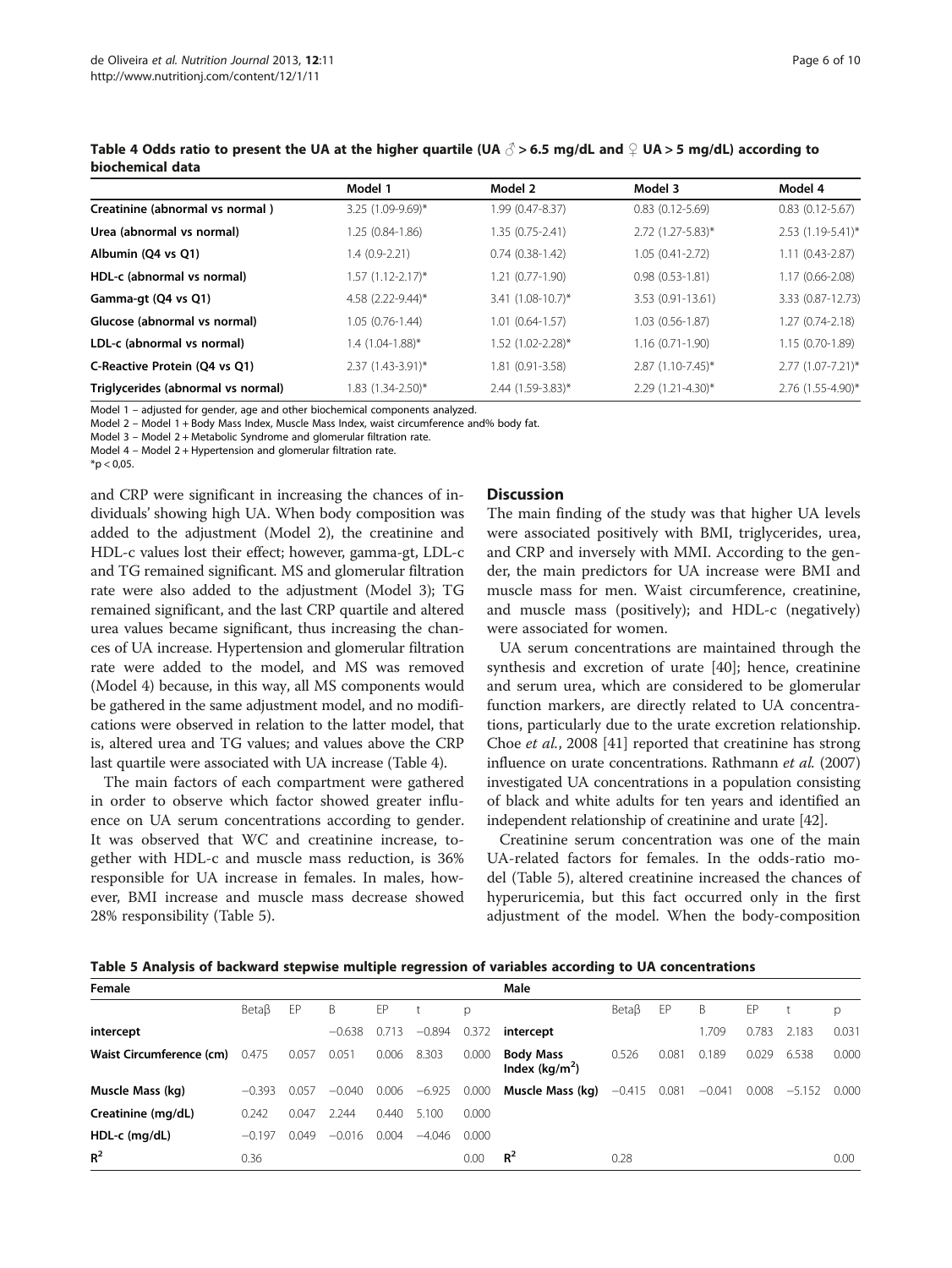|                                    | Model 1             | Model 2                | Model 3                | Model 4                |
|------------------------------------|---------------------|------------------------|------------------------|------------------------|
| Creatinine (abnormal vs normal)    | 3.25 (1.09-9.69)*   | 1.99 (0.47-8.37)       | $0.83$ $(0.12 - 5.69)$ | $0.83$ $(0.12 - 5.67)$ |
| Urea (abnormal vs normal)          | 1.25 (0.84-1.86)    | 1.35 (0.75-2.41)       | 2.72 (1.27-5.83)*      | 2.53 (1.19-5.41)*      |
| Albumin (Q4 vs Q1)                 | $1.4(0.9-2.21)$     | $0.74(0.38-1.42)$      | $1.05(0.41 - 2.72)$    | $1.11(0.43 - 2.87)$    |
| HDL-c (abnormal vs normal)         | $1.57$ (1.12-2.17)* | 1.21 (0.77-1.90)       | $0.98(0.53 - 1.81)$    | 1.17 (0.66-2.08)       |
| Gamma-gt (Q4 vs Q1)                | 4.58 (2.22-9.44)*   | $3.41 (1.08 - 10.7)^*$ | 3.53 (0.91-13.61)      | 3.33 (0.87-12.73)      |
| Glucose (abnormal vs normal)       | $1.05(0.76-1.44)$   | 1.01 (0.64-1.57)       | $1.03(0.56-1.87)$      | 1.27 (0.74-2.18)       |
| LDL-c (abnormal vs normal)         | $1.4(1.04-1.88)$ *  | 1.52 (1.02-2.28)*      | $1.16(0.71-1.90)$      | 1.15 (0.70-1.89)       |
| C-Reactive Protein (Q4 vs Q1)      | $2.37$ (1.43-3.91)* | 1.81 (0.91-3.58)       | $2.87(1.10-7.45)^*$    | $2.77(1.07 - 7.21)^*$  |
| Triglycerides (abnormal vs normal) | 1.83 (1.34-2.50)*   | 2.44 (1.59-3.83)*      | 2.29 (1.21-4.30)*      | 2.76 (1.55-4.90)*      |

Table 4 Odds ratio to present the UA at the higher quartile (UA  $\beta$  > 6.5 mg/dL and  $\circ$  UA > 5 mg/dL) according to biochemical data

Model 1 – adjusted for gender, age and other biochemical components analyzed.

Model 2 – Model 1 + Body Mass Index, Muscle Mass Index, waist circumference and% body fat.

Model 3 – Model 2 + Metabolic Syndrome and glomerular filtration rate.

Model 4 – Model 2 + Hypertension and glomerular filtration rate.

 $*$ p < 0.05.

and CRP were significant in increasing the chances of individuals' showing high UA. When body composition was added to the adjustment (Model 2), the creatinine and HDL-c values lost their effect; however, gamma-gt, LDL-c and TG remained significant. MS and glomerular filtration rate were also added to the adjustment (Model 3); TG remained significant, and the last CRP quartile and altered urea values became significant, thus increasing the chances of UA increase. Hypertension and glomerular filtration rate were added to the model, and MS was removed (Model 4) because, in this way, all MS components would be gathered in the same adjustment model, and no modifications were observed in relation to the latter model, that is, altered urea and TG values; and values above the CRP last quartile were associated with UA increase (Table 4).

The main factors of each compartment were gathered in order to observe which factor showed greater influence on UA serum concentrations according to gender. It was observed that WC and creatinine increase, together with HDL-c and muscle mass reduction, is 36% responsible for UA increase in females. In males, however, BMI increase and muscle mass decrease showed 28% responsibility (Table 5).

# **Discussion**

The main finding of the study was that higher UA levels were associated positively with BMI, triglycerides, urea, and CRP and inversely with MMI. According to the gender, the main predictors for UA increase were BMI and muscle mass for men. Waist circumference, creatinine, and muscle mass (positively); and HDL-c (negatively) were associated for women.

UA serum concentrations are maintained through the synthesis and excretion of urate [\[40\]](#page-8-0); hence, creatinine and serum urea, which are considered to be glomerular function markers, are directly related to UA concentrations, particularly due to the urate excretion relationship. Choe et al., 2008 [\[41](#page-9-0)] reported that creatinine has strong influence on urate concentrations. Rathmann et al. (2007) investigated UA concentrations in a population consisting of black and white adults for ten years and identified an independent relationship of creatinine and urate [\[42\]](#page-9-0).

Creatinine serum concentration was one of the main UA-related factors for females. In the odds-ratio model (Table 5), altered creatinine increased the chances of hyperuricemia, but this fact occurred only in the first adjustment of the model. When the body-composition

Table 5 Analysis of backward stepwise multiple regression of variables according to UA concentrations

| Female                   |                   |       |          |       |          |       | Male                                 |                   |       |          |       |          |       |
|--------------------------|-------------------|-------|----------|-------|----------|-------|--------------------------------------|-------------------|-------|----------|-------|----------|-------|
|                          | Beta <sub>B</sub> | EP    | B        | EP    |          | p     |                                      | Beta <sub>B</sub> | EP    | B        | EP    |          | р     |
| intercept                |                   |       | $-0.638$ | 0.713 | $-0.894$ | 0.372 | intercept                            |                   |       | 1.709    | 0.783 | 2.183    | 0.031 |
| Waist Circumference (cm) | 0.475             | 0.057 | 0.051    | 0.006 | 8.303    | 0.000 | <b>Body Mass</b><br>Index $(kq/m^2)$ | 0.526             | 0.081 | 0.189    | 0.029 | 6.538    | 0.000 |
| Muscle Mass (kg)         | $-0.393$          | 0.057 | $-0.040$ | 0.006 | $-6.925$ | 0.000 | Muscle Mass (kg)                     | $-0.415$          | 0.081 | $-0.041$ | 0.008 | $-5.152$ | 0.000 |
| Creatinine (mg/dL)       | 0.242             | 0.047 | 2.244    | 0.440 | 5.100    | 0.000 |                                      |                   |       |          |       |          |       |
| $HDL-c$ (mg/dL)          | $-0.197$          | 0.049 | $-0.016$ | 0.004 | $-4.046$ | 0.000 |                                      |                   |       |          |       |          |       |
| $R^2$                    | 0.36              |       |          |       |          | 0.00  | $R^2$                                | 0.28              |       |          |       |          | 0.00  |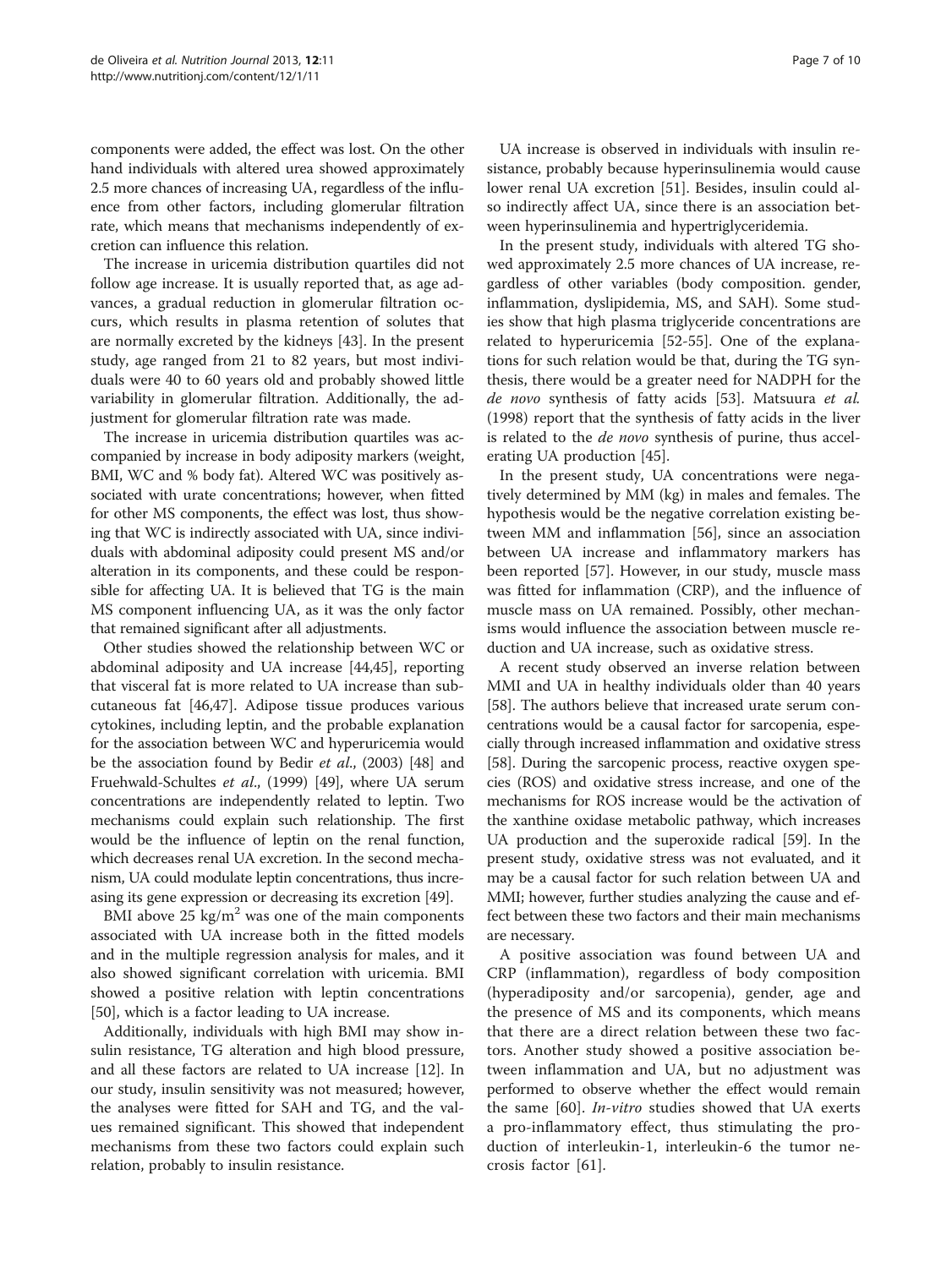components were added, the effect was lost. On the other hand individuals with altered urea showed approximately 2.5 more chances of increasing UA, regardless of the influence from other factors, including glomerular filtration rate, which means that mechanisms independently of excretion can influence this relation.

The increase in uricemia distribution quartiles did not follow age increase. It is usually reported that, as age advances, a gradual reduction in glomerular filtration occurs, which results in plasma retention of solutes that are normally excreted by the kidneys [[43](#page-9-0)]. In the present study, age ranged from 21 to 82 years, but most individuals were 40 to 60 years old and probably showed little variability in glomerular filtration. Additionally, the adjustment for glomerular filtration rate was made.

The increase in uricemia distribution quartiles was accompanied by increase in body adiposity markers (weight, BMI, WC and % body fat). Altered WC was positively associated with urate concentrations; however, when fitted for other MS components, the effect was lost, thus showing that WC is indirectly associated with UA, since individuals with abdominal adiposity could present MS and/or alteration in its components, and these could be responsible for affecting UA. It is believed that TG is the main MS component influencing UA, as it was the only factor that remained significant after all adjustments.

Other studies showed the relationship between WC or abdominal adiposity and UA increase [\[44,45](#page-9-0)], reporting that visceral fat is more related to UA increase than subcutaneous fat [\[46,47](#page-9-0)]. Adipose tissue produces various cytokines, including leptin, and the probable explanation for the association between WC and hyperuricemia would be the association found by Bedir et al., (2003) [\[48\]](#page-9-0) and Fruehwald-Schultes et al., (1999) [\[49\]](#page-9-0), where UA serum concentrations are independently related to leptin. Two mechanisms could explain such relationship. The first would be the influence of leptin on the renal function, which decreases renal UA excretion. In the second mechanism, UA could modulate leptin concentrations, thus increasing its gene expression or decreasing its excretion [[49](#page-9-0)].

BMI above  $25 \text{ kg/m}^2$  was one of the main components associated with UA increase both in the fitted models and in the multiple regression analysis for males, and it also showed significant correlation with uricemia. BMI showed a positive relation with leptin concentrations [[50\]](#page-9-0), which is a factor leading to UA increase.

Additionally, individuals with high BMI may show insulin resistance, TG alteration and high blood pressure, and all these factors are related to UA increase [[12\]](#page-8-0). In our study, insulin sensitivity was not measured; however, the analyses were fitted for SAH and TG, and the values remained significant. This showed that independent mechanisms from these two factors could explain such relation, probably to insulin resistance.

UA increase is observed in individuals with insulin resistance, probably because hyperinsulinemia would cause lower renal UA excretion [\[51](#page-9-0)]. Besides, insulin could also indirectly affect UA, since there is an association between hyperinsulinemia and hypertriglyceridemia.

In the present study, individuals with altered TG showed approximately 2.5 more chances of UA increase, regardless of other variables (body composition. gender, inflammation, dyslipidemia, MS, and SAH). Some studies show that high plasma triglyceride concentrations are related to hyperuricemia [\[52](#page-9-0)-[55](#page-9-0)]. One of the explanations for such relation would be that, during the TG synthesis, there would be a greater need for NADPH for the de novo synthesis of fatty acids [[53\]](#page-9-0). Matsuura et al. (1998) report that the synthesis of fatty acids in the liver is related to the de novo synthesis of purine, thus accelerating UA production [\[45\]](#page-9-0).

In the present study, UA concentrations were negatively determined by MM (kg) in males and females. The hypothesis would be the negative correlation existing between MM and inflammation [\[56](#page-9-0)], since an association between UA increase and inflammatory markers has been reported [\[57\]](#page-9-0). However, in our study, muscle mass was fitted for inflammation (CRP), and the influence of muscle mass on UA remained. Possibly, other mechanisms would influence the association between muscle reduction and UA increase, such as oxidative stress.

A recent study observed an inverse relation between MMI and UA in healthy individuals older than 40 years [[58](#page-9-0)]. The authors believe that increased urate serum concentrations would be a causal factor for sarcopenia, especially through increased inflammation and oxidative stress [[58](#page-9-0)]. During the sarcopenic process, reactive oxygen species (ROS) and oxidative stress increase, and one of the mechanisms for ROS increase would be the activation of the xanthine oxidase metabolic pathway, which increases UA production and the superoxide radical [[59](#page-9-0)]. In the present study, oxidative stress was not evaluated, and it may be a causal factor for such relation between UA and MMI; however, further studies analyzing the cause and effect between these two factors and their main mechanisms are necessary.

A positive association was found between UA and CRP (inflammation), regardless of body composition (hyperadiposity and/or sarcopenia), gender, age and the presence of MS and its components, which means that there are a direct relation between these two factors. Another study showed a positive association between inflammation and UA, but no adjustment was performed to observe whether the effect would remain the same [[60\]](#page-9-0). In-vitro studies showed that UA exerts a pro-inflammatory effect, thus stimulating the production of interleukin-1, interleukin-6 the tumor necrosis factor [[61\]](#page-9-0).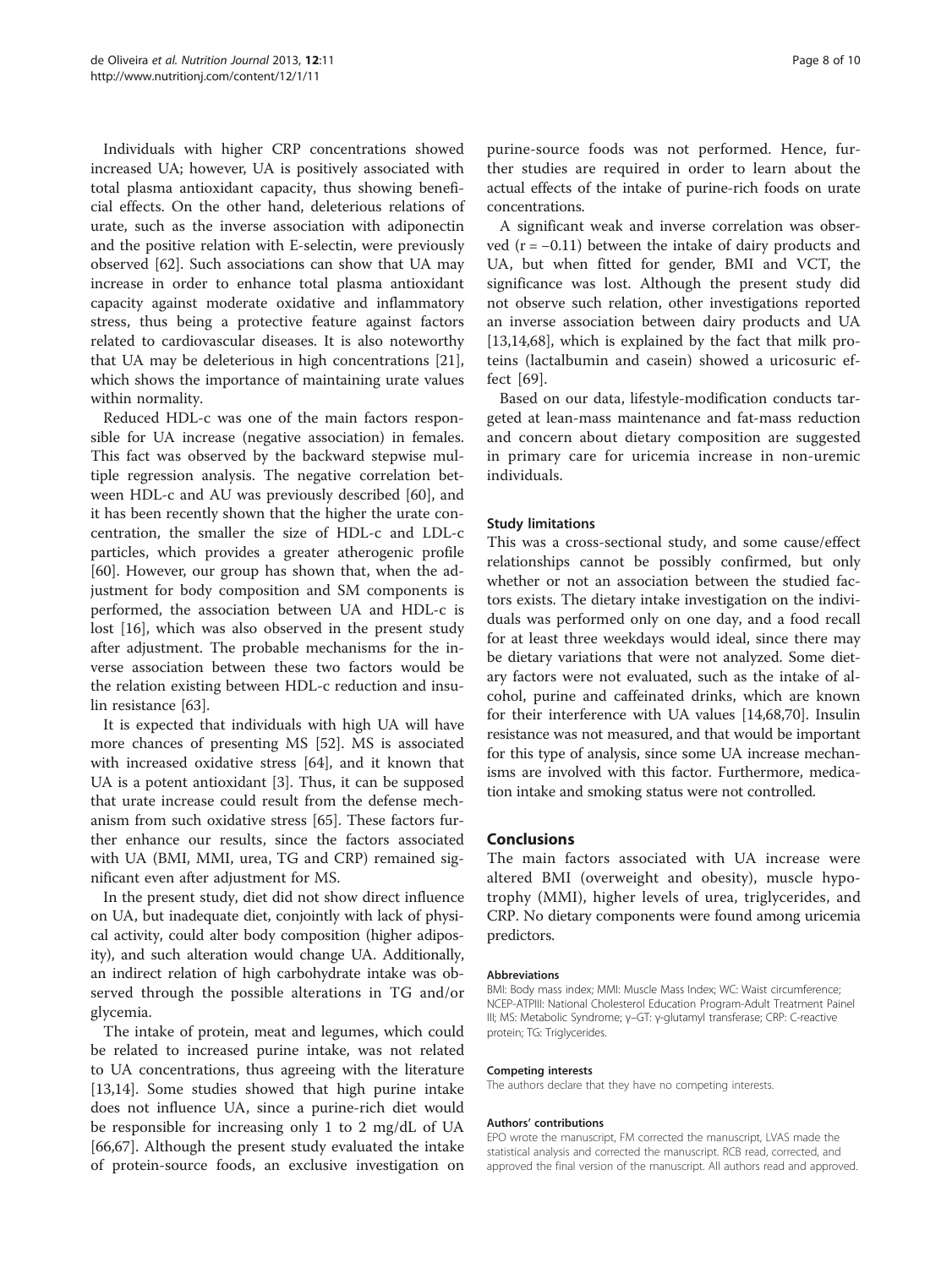Individuals with higher CRP concentrations showed increased UA; however, UA is positively associated with total plasma antioxidant capacity, thus showing beneficial effects. On the other hand, deleterious relations of urate, such as the inverse association with adiponectin and the positive relation with E-selectin, were previously observed [[62\]](#page-9-0). Such associations can show that UA may increase in order to enhance total plasma antioxidant capacity against moderate oxidative and inflammatory stress, thus being a protective feature against factors related to cardiovascular diseases. It is also noteworthy that UA may be deleterious in high concentrations [\[21](#page-8-0)], which shows the importance of maintaining urate values within normality.

Reduced HDL-c was one of the main factors responsible for UA increase (negative association) in females. This fact was observed by the backward stepwise multiple regression analysis. The negative correlation between HDL-c and AU was previously described [\[60\]](#page-9-0), and it has been recently shown that the higher the urate concentration, the smaller the size of HDL-c and LDL-c particles, which provides a greater atherogenic profile [[60\]](#page-9-0). However, our group has shown that, when the adjustment for body composition and SM components is performed, the association between UA and HDL-c is lost [[16](#page-8-0)], which was also observed in the present study after adjustment. The probable mechanisms for the inverse association between these two factors would be the relation existing between HDL-c reduction and insulin resistance [\[63](#page-9-0)].

It is expected that individuals with high UA will have more chances of presenting MS [\[52](#page-9-0)]. MS is associated with increased oxidative stress [\[64\]](#page-9-0), and it known that UA is a potent antioxidant [\[3](#page-8-0)]. Thus, it can be supposed that urate increase could result from the defense mechanism from such oxidative stress [[65](#page-9-0)]. These factors further enhance our results, since the factors associated with UA (BMI, MMI, urea, TG and CRP) remained significant even after adjustment for MS.

In the present study, diet did not show direct influence on UA, but inadequate diet, conjointly with lack of physical activity, could alter body composition (higher adiposity), and such alteration would change UA. Additionally, an indirect relation of high carbohydrate intake was observed through the possible alterations in TG and/or glycemia.

The intake of protein, meat and legumes, which could be related to increased purine intake, was not related to UA concentrations, thus agreeing with the literature [[13,14\]](#page-8-0). Some studies showed that high purine intake does not influence UA, since a purine-rich diet would be responsible for increasing only 1 to 2 mg/dL of UA [[66,67\]](#page-9-0). Although the present study evaluated the intake of protein-source foods, an exclusive investigation on purine-source foods was not performed. Hence, further studies are required in order to learn about the actual effects of the intake of purine-rich foods on urate concentrations.

A significant weak and inverse correlation was observed  $(r = -0.11)$  between the intake of dairy products and UA, but when fitted for gender, BMI and VCT, the significance was lost. Although the present study did not observe such relation, other investigations reported an inverse association between dairy products and UA [[13,14,](#page-8-0)[68\]](#page-9-0), which is explained by the fact that milk proteins (lactalbumin and casein) showed a uricosuric effect [\[69](#page-9-0)].

Based on our data, lifestyle-modification conducts targeted at lean-mass maintenance and fat-mass reduction and concern about dietary composition are suggested in primary care for uricemia increase in non-uremic individuals.

# Study limitations

This was a cross-sectional study, and some cause/effect relationships cannot be possibly confirmed, but only whether or not an association between the studied factors exists. The dietary intake investigation on the individuals was performed only on one day, and a food recall for at least three weekdays would ideal, since there may be dietary variations that were not analyzed. Some dietary factors were not evaluated, such as the intake of alcohol, purine and caffeinated drinks, which are known for their interference with UA values [\[14](#page-8-0)[,68,70\]](#page-9-0). Insulin resistance was not measured, and that would be important for this type of analysis, since some UA increase mechanisms are involved with this factor. Furthermore, medication intake and smoking status were not controlled.

#### Conclusions

The main factors associated with UA increase were altered BMI (overweight and obesity), muscle hypotrophy (MMI), higher levels of urea, triglycerides, and CRP. No dietary components were found among uricemia predictors.

#### Abbreviations

BMI: Body mass index; MMI: Muscle Mass Index; WC: Waist circumference; NCEP-ATPIII: National Cholesterol Education Program-Adult Treatment Painel III; MS: Metabolic Syndrome; γ–GT: γ-glutamyl transferase; CRP: C-reactive protein; TG: Triglycerides.

#### Competing interests

The authors declare that they have no competing interests.

#### Authors' contributions

EPO wrote the manuscript, FM corrected the manuscript, LVAS made the statistical analysis and corrected the manuscript. RCB read, corrected, and approved the final version of the manuscript. All authors read and approved.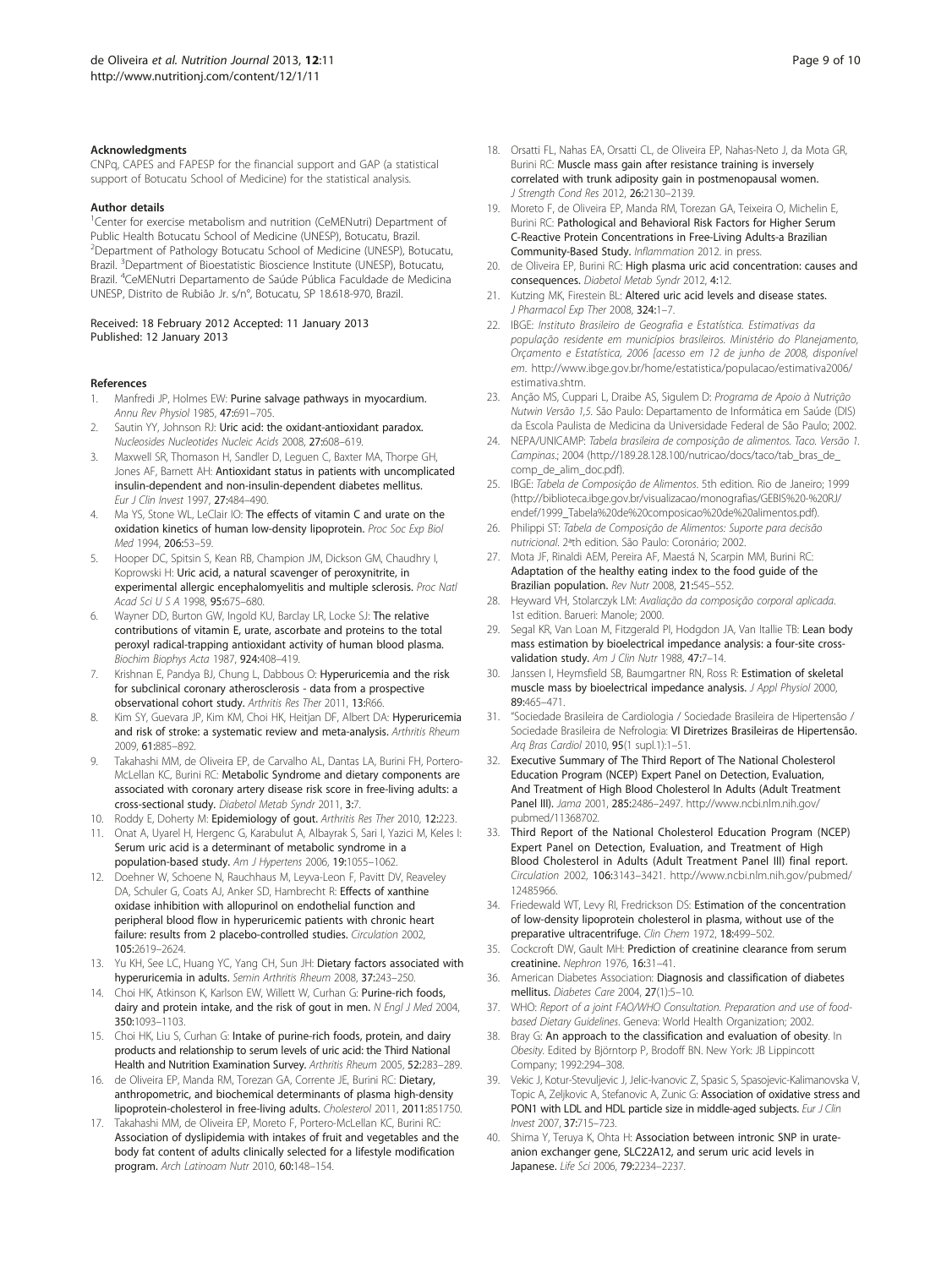#### <span id="page-8-0"></span>Acknowledgments

CNPq, CAPES and FAPESP for the financial support and GAP (a statistical support of Botucatu School of Medicine) for the statistical analysis.

#### Author details

<sup>1</sup>Center for exercise metabolism and nutrition (CeMENutri) Department of Public Health Botucatu School of Medicine (UNESP), Botucatu, Brazil. 2 Department of Pathology Botucatu School of Medicine (UNESP), Botucatu, Brazil. <sup>3</sup>Department of Bioestatistic Bioscience Institute (UNESP), Botucatu, Brazil. <sup>4</sup> CeMENutri Departamento de Saúde Pública Faculdade de Medicina UNESP, Distrito de Rubião Jr. s/n°, Botucatu, SP 18.618-970, Brazil.

Received: 18 February 2012 Accepted: 11 January 2013 Published: 12 January 2013

#### References

- 1. Manfredi JP, Holmes EW: Purine salvage pathways in myocardium. Annu Rev Physiol 1985, 47:691–705.
- 2. Sautin YY, Johnson RJ: Uric acid: the oxidant-antioxidant paradox. Nucleosides Nucleotides Nucleic Acids 2008, 27:608–619.
- 3. Maxwell SR, Thomason H, Sandler D, Leguen C, Baxter MA, Thorpe GH, Jones AF, Barnett AH: Antioxidant status in patients with uncomplicated insulin-dependent and non-insulin-dependent diabetes mellitus. Eur J Clin Invest 1997, 27:484–490.
- 4. Ma YS, Stone WL, LeClair IO: The effects of vitamin C and urate on the oxidation kinetics of human low-density lipoprotein. Proc Soc Exp Biol Med 1994, 206:53–59.
- 5. Hooper DC, Spitsin S, Kean RB, Champion JM, Dickson GM, Chaudhry I, Koprowski H: Uric acid, a natural scavenger of peroxynitrite, in experimental allergic encephalomyelitis and multiple sclerosis. Proc Natl Acad Sci U S A 1998, 95:675–680.
- 6. Wayner DD, Burton GW, Ingold KU, Barclay LR, Locke SJ: The relative contributions of vitamin E, urate, ascorbate and proteins to the total peroxyl radical-trapping antioxidant activity of human blood plasma. Biochim Biophys Acta 1987, 924:408–419.
- 7. Krishnan E, Pandya BJ, Chung L, Dabbous O: Hyperuricemia and the risk for subclinical coronary atherosclerosis - data from a prospective observational cohort study. Arthritis Res Ther 2011, 13:R66.
- Kim SY, Guevara JP, Kim KM, Choi HK, Heitjan DF, Albert DA: Hyperuricemia and risk of stroke: a systematic review and meta-analysis. Arthritis Rheum 2009, 61:885–892.
- Takahashi MM, de Oliveira EP, de Carvalho AL, Dantas LA, Burini FH, Portero-McLellan KC, Burini RC: Metabolic Syndrome and dietary components are associated with coronary artery disease risk score in free-living adults: a cross-sectional study. Diabetol Metab Syndr 2011, 3:7.
- 10. Roddy E, Doherty M: Epidemiology of gout. Arthritis Res Ther 2010, 12:223.
- 11. Onat A, Uyarel H, Hergenc G, Karabulut A, Albayrak S, Sari I, Yazici M, Keles I: Serum uric acid is a determinant of metabolic syndrome in a population-based study. Am J Hypertens 2006, 19:1055–1062.
- 12. Doehner W, Schoene N, Rauchhaus M, Leyva-Leon F, Pavitt DV, Reaveley DA, Schuler G, Coats AJ, Anker SD, Hambrecht R: Effects of xanthine oxidase inhibition with allopurinol on endothelial function and peripheral blood flow in hyperuricemic patients with chronic heart failure: results from 2 placebo-controlled studies. Circulation 2002, 105:2619–2624.
- 13. Yu KH, See LC, Huang YC, Yang CH, Sun JH: Dietary factors associated with hyperuricemia in adults. Semin Arthritis Rheum 2008, 37:243–250.
- 14. Choi HK, Atkinson K, Karlson EW, Willett W, Curhan G: Purine-rich foods, dairy and protein intake, and the risk of gout in men. N Engl J Med 2004, 350:1093–1103.
- 15. Choi HK, Liu S, Curhan G: Intake of purine-rich foods, protein, and dairy products and relationship to serum levels of uric acid: the Third National Health and Nutrition Examination Survey. Arthritis Rheum 2005, 52:283–289.
- 16. de Oliveira EP, Manda RM, Torezan GA, Corrente JE, Burini RC: Dietary, anthropometric, and biochemical determinants of plasma high-density lipoprotein-cholesterol in free-living adults. Cholesterol 2011, 2011:851750.
- 17. Takahashi MM, de Oliveira EP, Moreto F, Portero-McLellan KC, Burini RC: Association of dyslipidemia with intakes of fruit and vegetables and the body fat content of adults clinically selected for a lifestyle modification program. Arch Latinoam Nutr 2010, 60:148–154.
- 18. Orsatti FL, Nahas EA, Orsatti CL, de Oliveira EP, Nahas-Neto J, da Mota GR, Burini RC: Muscle mass gain after resistance training is inversely correlated with trunk adiposity gain in postmenopausal women. J Strength Cond Res 2012, 26:2130–2139.
- 19. Moreto F, de Oliveira EP, Manda RM, Torezan GA, Teixeira O, Michelin E, Burini RC: Pathological and Behavioral Risk Factors for Higher Serum C-Reactive Protein Concentrations in Free-Living Adults-a Brazilian Community-Based Study. Inflammation 2012. in press.
- 20. de Oliveira EP, Burini RC: High plasma uric acid concentration: causes and consequences. Diabetol Metab Syndr 2012, 4:12.
- 21. Kutzing MK, Firestein BL: Altered uric acid levels and disease states. J Pharmacol Exp Ther 2008, 324:1-7.
- 22. IBGE: Instituto Brasileiro de Geografia e Estatística. Estimativas da população residente em municípios brasileiros. Ministério do Planejamento, Orçamento e Estatística, 2006 [acesso em 12 de junho de 2008, disponível em. [http://www.ibge.gov.br/home/estatistica/populacao/estimativa2006/](http://www.ibge.gov.br/home/estatistica/populacao/estimativa2006/estimativa.shtm) [estimativa.shtm](http://www.ibge.gov.br/home/estatistica/populacao/estimativa2006/estimativa.shtm).
- 23. Anção MS, Cuppari L, Draibe AS, Sigulem D: Programa de Apoio à Nutrição Nutwin Versão 1,5. São Paulo: Departamento de Informática em Saúde (DIS) da Escola Paulista de Medicina da Universidade Federal de São Paulo; 2002.
- 24. NEPA/UNICAMP: Tabela brasileira de composição de alimentos. Taco. Versão 1. Campinas.; 2004 [\(http://189.28.128.100/nutricao/docs/taco/tab\\_bras\\_de\\_](http://189.28.128.100/nutricao/docs/taco/tab_bras_de_comp_de_alim_doc.pdf) [comp\\_de\\_alim\\_doc.pdf\)](http://189.28.128.100/nutricao/docs/taco/tab_bras_de_comp_de_alim_doc.pdf).
- 25. IBGE: Tabela de Composição de Alimentos. 5th edition. Rio de Janeiro; 1999 ([http://biblioteca.ibge.gov.br/visualizacao/monografias/GEBIS%20-%20RJ/](http://biblioteca.ibge.gov.br/visualizacao/monografias/GEBIS%20-%20RJ/endef/1999_Tabela%20de%20composicao%20de%20alimentos.pdf) [endef/1999\\_Tabela%20de%20composicao%20de%20alimentos.pdf\)](http://biblioteca.ibge.gov.br/visualizacao/monografias/GEBIS%20-%20RJ/endef/1999_Tabela%20de%20composicao%20de%20alimentos.pdf).
- 26. Philippi ST: Tabela de Composição de Alimentos: Suporte para decisão nutricional. 2ªth edition. São Paulo: Coronário; 2002.
- 27. Mota JF, Rinaldi AEM, Pereira AF, Maestá N, Scarpin MM, Burini RC: Adaptation of the healthy eating index to the food guide of the Brazilian population. Rev Nutr 2008, 21:545–552.
- 28. Heyward VH, Stolarczyk LM: Avaliação da composição corporal aplicada. 1st edition. Barueri: Manole; 2000.
- 29. Segal KR, Van Loan M, Fitzgerald PI, Hodgdon JA, Van Itallie TB: Lean body mass estimation by bioelectrical impedance analysis: a four-site crossvalidation study. Am J Clin Nutr 1988, 47:7-14.
- 30. Janssen I, Heymsfield SB, Baumgartner RN, Ross R: Estimation of skeletal muscle mass by bioelectrical impedance analysis. J Appl Physiol 2000, 89:465–471.
- 31. "Sociedade Brasileira de Cardiologia / Sociedade Brasileira de Hipertensão / Sociedade Brasileira de Nefrologia: VI Diretrizes Brasileiras de Hipertensão. Arq Bras Cardiol 2010, 95(1 supl.1):1–51.
- 32. Executive Summary of The Third Report of The National Cholesterol Education Program (NCEP) Expert Panel on Detection, Evaluation, And Treatment of High Blood Cholesterol In Adults (Adult Treatment Panel III). Jama 2001, 285:2486–2497. [http://www.ncbi.nlm.nih.gov/](http://www.ncbi.nlm.nih.gov/pubmed/11368702) [pubmed/11368702.](http://www.ncbi.nlm.nih.gov/pubmed/11368702)
- 33. Third Report of the National Cholesterol Education Program (NCEP) Expert Panel on Detection, Evaluation, and Treatment of High Blood Cholesterol in Adults (Adult Treatment Panel III) final report. Circulation 2002, 106:3143–3421. [http://www.ncbi.nlm.nih.gov/pubmed/](http://www.ncbi.nlm.nih.gov/pubmed/12485966) [12485966.](http://www.ncbi.nlm.nih.gov/pubmed/12485966)
- 34. Friedewald WT, Levy RI, Fredrickson DS: Estimation of the concentration of low-density lipoprotein cholesterol in plasma, without use of the preparative ultracentrifuge. Clin Chem 1972, 18:499–502.
- 35. Cockcroft DW, Gault MH: Prediction of creatinine clearance from serum creatinine. Nephron 1976, 16:31–41.
- 36. American Diabetes Association: Diagnosis and classification of diabetes mellitus. Diabetes Care 2004, 27(1):5–10.
- 37. WHO: Report of a joint FAO/WHO Consultation. Preparation and use of foodbased Dietary Guidelines. Geneva: World Health Organization; 2002.
- 38. Bray G: An approach to the classification and evaluation of obesity. In Obesity. Edited by Björntorp P, Brodoff BN. New York: JB Lippincott Company; 1992:294–308.
- 39. Vekic J, Kotur-Stevuljevic J, Jelic-Ivanovic Z, Spasic S, Spasojevic-Kalimanovska V, Topic A, Zeljkovic A, Stefanovic A, Zunic G: Association of oxidative stress and PON1 with LDL and HDL particle size in middle-aged subjects. Eur J Clin Invest 2007, 37:715–723.
- 40. Shima Y, Teruya K, Ohta H: Association between intronic SNP in urateanion exchanger gene, SLC22A12, and serum uric acid levels in Japanese. Life Sci 2006, 79:2234–2237.